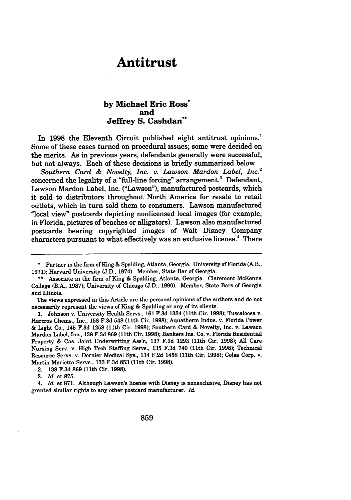## **Antitrust**

## **by Michael Eric Ross\* and Jeffrey S. Cashdan\*\***

In 1998 the Eleventh Circuit published eight antitrust opinions.<sup>1</sup> Some of these cases turned on procedural issues; some were decided on the merits. As in previous years, defendants generally were successful, but not always. Each of these decisions is briefly summarized below.

*Southern Card & Novelty, Inc. v. Lawson Mardon Label, Inc.2* concerned the legality of a "full-line forcing" arrangement.' Defendant, Lawson Mardon Label, Inc. ("Lawson"), manufactured postcards, which it sold to distributors throughout North America for resale to retail outlets, which in turn sold them to consumers. Lawson manufactured "local view" postcards depicting nonlicensed local images (for example, in Florida, pictures of beaches or alligators). Lawson also manufactured postcards bearing copyrighted images of Walt Disney Company characters pursuant to what effectively was an exclusive license.<sup>4</sup> There

**<sup>\*</sup>** Partner in the firm of King **&** Spalding, Atlanta, Georgia. University of Florida (A.B., **1971);** Harvard University **(J.D.,** 1974). Member, State Bar of Georgia.

**<sup>\*\*</sup>** Associate in the firm of King **&** Spalding, Atlanta, Georgia. Claremont McKenna College (B.A., **1987);** University of Chicago **(J.D., 1990).** Member, State Bars of Georgia and Illinois.

The views expressed in this Article are the personal opinions of the authors and do not necessarily represent the views of King **&** Spalding or any of its clients.

**<sup>1.</sup>** Johnson v. University Health Servs., **161 F.3d** 1334 (11th Cir. **1998);** Tuscaloosa v. Harcros Chems., Inc., **158 F.3d** 548 (11th Cir. **1998);** Aquatherm Indus. v. Florida Power **&** Light Co., 145 **F.3d 1258** (11th Cir. **1998);** Southern Card & Novelty, Inc. v. Lawson Mardon Label, Inc., **138 F.3d 869** (11th Cir. **1998);** Bankers Ins. Co. v. Florida Residential Property **&** Cas. Joint Underwriting Ass'n, **137 F.3d 1293** (11th Cir. **1998); All** Care Nursing Serv. v. High Tech Staffing Servs., **135 F.3d** 740 (11th Cir. **1998);** Technical Resource Servs. v. Dornier Medical Sys., 134 **F.2d** 1458 (11th Cir. **1998);** Colsa Corp. v. Martin Marietta Servs., **133 F.3d 853** (11th Cir. **1998).**

<sup>2.</sup> **138 F.3d 869** (11th Cir. **1998).**

**<sup>3.</sup>** *Id.* at **875.**

<sup>4.</sup> *Id.* at **871.** Although Lawson's license with Disney is nonexclusive, Disney has not granted similar rights to any other postcard manufacturer. *Id.*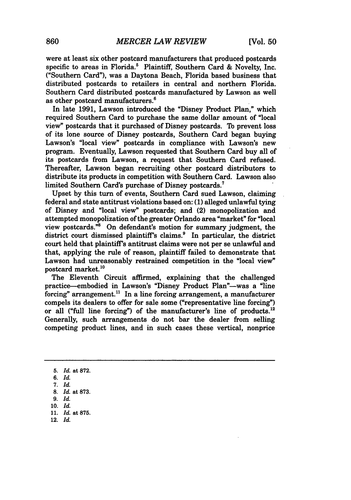were at least six other postcard manufacturers that produced postcards specific to areas in Florida.<sup>5</sup> Plaintiff, Southern Card & Novelty, Inc. ("Southern Card"), was a Daytona Beach, Florida based business that distributed postcards to retailers in central and northern Florida. Southern Card distributed postcards manufactured by Lawson as well as other postcard manufacturers.'

In late 1991, Lawson introduced the "Disney Product Plan," which required Southern Card to purchase the same dollar amount of "local view" postcards that it purchased of Disney postcards. To prevent loss of its lone source of Disney postcards, Southern Card began buying Lawson's "local view" postcards in compliance with Lawson's new program. Eventually, Lawson requested that Southern Card buy all of its postcards from Lawson, a request that Southern Card refused. Thereafter, Lawson began recruiting other postcard distributors to distribute its products in competition with Southern Card. Lawson also limited Southern Card's purchase of Disney postcards.'

Upset by this turn of events, Southern Card sued Lawson, claiming federal and state antitrust violations based on: **(1)** alleged unlawful tying of Disney and "local view" postcards; and (2) monopolization and attempted monopolization of the greater Orlando area "market" for "local view postcards."8 On defendant's motion for summary judgment, the district court dismissed plaintiff's claims.<sup>9</sup> In particular, the district court held that plaintiff's antitrust claims were not per se unlawful and that, applying the rule of reason, plaintiff failed to demonstrate that Lawson had unreasonably restrained competition in the "local view" postcard market.<sup>10</sup>

The Eleventh Circuit affirmed, explaining that the challenged practice-embodied in Lawson's "Disney Product Plan"-was a "line forcing" arrangement.<sup>11</sup> In a line forcing arrangement, a manufacturer compels its dealers to offer for sale some ("representative line forcing") or all ("full line forcing") of the manufacturer's line of products. $12$ Generally, such arrangements do not bar the dealer from selling competing product lines, and in such cases these vertical, nonprice

12. *Id.*

<sup>5.</sup> *Id.* at 872.

*<sup>6.</sup> Id.*

*<sup>7.</sup> Id.*

**<sup>8.</sup>** *Id.* at **873.**

*<sup>9.</sup> Id.*

**<sup>10.</sup>** *Id.*

**<sup>11.</sup> Id.** at **875.**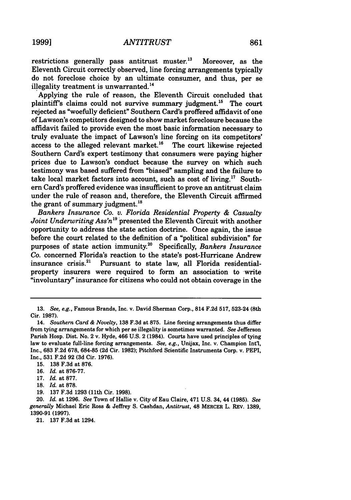restrictions generally pass antitrust muster.<sup>13</sup> Moreover, as the Eleventh Circuit correctly observed, line forcing arrangements typically do not foreclose choice by an ultimate consumer, and thus, per se illegality treatment is unwarranted.<sup>14</sup>

Applying the rule of reason, the Eleventh Circuit concluded that plaintiff's claims could not survive summary judgment.<sup>15</sup> The court rejected as "woefully deficient" Southern Card's proffered affidavit of one of Lawson's competitors designed to show market foreclosure because the affidavit failed to provide even the most basic information necessary to truly evaluate the impact of Lawson's line forcing on its competitors' access to the alleged relevant market.<sup>16</sup> The court likewise rejected Southern Card's expert testimony that consumers were paying higher prices due to Lawson's conduct because the survey on which such testimony was based suffered from "biased" sampling and the failure to take local market factors into account, such as cost of living.<sup>17</sup> Southern Card's proffered evidence was insufficient to prove an antitrust claim under the rule of reason and, therefore, the Eleventh Circuit affirmed the grant of summary judgment. $^{18}$ 

*Bankers Insurance Co. v. Florida Residential Property & Casualty Joint Underwriting Ass'n*<sup>19</sup> presented the Eleventh Circuit with another opportunity to address the state action doctrine. Once again, the issue before the court related to the definition of a "political subdivision" for purposes of state action immunity.20 Specifically, *Bankers Insurance Co.* concerned Florida's reaction to the state's post-Hurricane Andrew insurance crisis. $21$  Pursuant to state law, all Florida residentialproperty insurers were required to form an association to write "involuntary" insurance for citizens who could not obtain coverage in the

- 18. *Id.* at 878.
- 19. **137** F.3d 1293 (11th Cir. **1998).**

20. *Id.* at **1296.** *See* Town of Hallie v. City of Eau Claire, 471 U.S. 34, 44 **(1985).** *See generally* Michael Eric Ross & Jeffrey S. Cashdan, *Antitrust,* 48 MERCER L. REv. **1389,** 1390-91 **(1997).**

21. 137 F.3d at 1294.

<sup>13.</sup> *See, e.g.,* Famous Brands, Inc. v. David Sherman Corp., 814 F.2d 517, 523-24 (8th Cir. 1987).

<sup>14.</sup> *Southern Card & Novelty,* 138 F.3d at 875. Line forcing arrangements thus differ from tying arrangements for which per se illegality is sometimes warranted. *See* Jefferson Parish Hosp. Dist. No. 2 v. Hyde, 466 U.S. 2 (1984). Courts have used principles of tying law to evaluate full-line forcing arrangements. *See, e.g.,* Unijax, Inc. v. Champion Intl, Inc., 683 F.2d 678, 684-85 **(2d** Cir. 1982); Pitchford Scientific Instruments Corp. v. PEPI, Inc., 531 F.2d 92 (3d Cir. 1976).

<sup>15. 138</sup> F.3d at 876.

<sup>16.</sup> *Id.* at 876-77.

<sup>17.</sup> *Id.* at 877.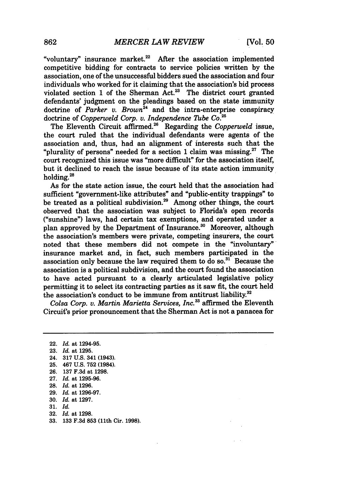"voluntary" insurance market. $22$  After the association implemented competitive bidding for contracts to service policies written **by** the association, one of the unsuccessful bidders sued the association and four individuals who worked for it claiming that the association's bid process violated section **1** of the Sherman Act.23 The district court granted defendants' judgment on the pleadings based on the state immunity doctrine of *Parker v. Brown*<sup>24</sup> and the intra-enterprise conspiracy doctrine of *Copperweld Corp. v. Independence Tube Co.*<sup>2</sup>

The Eleventh Circuit affirmed.<sup>26</sup> Regarding the *Copperweld* issue, the court ruled that the individual defendants were agents of the association and, thus, had an alignment of interests such that the "plurality of persons" needed for a section 1 claim was missing. $27$  The court recognized this issue was "more difficult" for the association itself, but it declined to reach the issue because of its state action immunity holding.28

As for the state action issue, the court held that the association had sufficient "government-like attributes" and "public-entity trappings" to be treated as a political subdivision.<sup>29</sup> Among other things, the court observed that the association was subject to Florida's open records ("sunshine") laws, had certain tax exemptions, and operated under a plan approved by the Department of Insurance.<sup>30</sup> Moreover, although the association's members were private, competing insurers, the court noted that these members did not compete in the "involuntary" insurance market and, in fact, such members participated in the association only because the law required them to do so. $31$  Because the association is a political subdivision, and the court found the association to have acted pursuant to a clearly articulated legislative policy permitting it to select its contracting parties as it saw fit, the court held the association's conduct to be immune from antitrust liability. $32$ 

*Colsa Corp. v. Martin Marietta Services, Inc.33* affirmed the Eleventh Circuit's prior pronouncement that the Sherman Act is not a panacea for

22. *Id.* at 1294-95. **23.** *Id.* at **1295.** 24. **317 U.S.** 341 (1943). **25.** 467 **U.S. 752** (1984). **26. 137 F.3d** at **1298. 27.** *Id.* at **1295-96. 28.** *Id.* at **1296. 29.** *Id.* at **1296-97. 30.** *Id.* at **1297. 31.** *Id.* **32.** *Id.* at **1298. 33. 133 F.3d 853** (11th Cir. **1998).**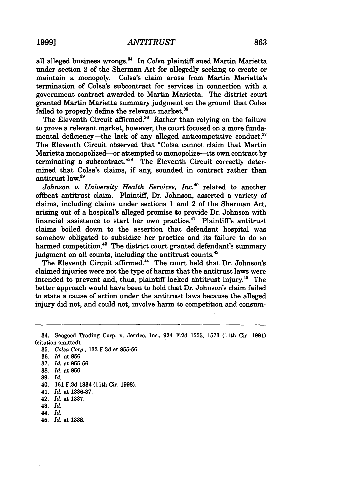all alleged business wrongs.<sup>34</sup> In *Colsa* plaintiff sued Martin Marietta under section 2 of the Sherman Act for allegedly seeking to create or<br>maintain a monopoly. Colsa's claim arose from Martin Marietta's Colsa's claim arose from Martin Marietta's termination of Colsa's subcontract for services in connection with a government contract awarded to Martin Marietta. The district court granted Martin Marietta summary judgment on the ground that Colsa failed to properly define the relevant market.<sup>35</sup>

The Eleventh Circuit affirmed.<sup>36</sup> Rather than relying on the failure to prove a relevant market, however, the court focused on a more fundamental deficiency—the lack of any alleged anticompetitive conduct.<sup>37</sup> The Eleventh Circuit observed that "Colsa cannot claim that Martin Marietta monopolized-or attempted to monopolize-its own contract **by** terminating a subcontract."<sup>38</sup> The Eleventh Circuit correctly determined that Colsa's claims, if any, sounded in contract rather than antitrust law.<sup>39</sup>

*Johnson v. University Health Services, Inc.<sup>40</sup> related to another* offbeat antitrust claim. Plaintiff, Dr. Johnson, asserted a variety of claims, including claims under sections 1 and 2 of the Sherman Act, arising out of a hospital's alleged promise to provide Dr. Johnson with financial assistance to start her own practice.<sup>41</sup> Plaintiff's antitrust claims boiled down to the assertion that defendant hospital was somehow obligated to subsidize her practice and its failure to do so harmed competition.<sup>42</sup> The district court granted defendant's summary judgment on all counts, including the antitrust counts.<sup>43</sup>

The Eleventh Circuit affirmed.<sup>44</sup> The court held that Dr. Johnson's claimed injuries were not the type of harms that the antitrust laws were intended to prevent and, thus, plaintiff lacked antitrust injury.<sup>45</sup> The better approach would have been to hold that Dr. Johnson's claim failed to state a cause of action under the antitrust laws because the alleged injury did not, and could not, involve harm to competition and consum-

- **37.** *Id.* at **855-56.**
- **38.** *Id.* at **856.**
- 39. *Id.*
- 40. 161 F.3d 1334 (11th Cir. 1998).
- 41. *Id.* at 1336-37.
- 42. *Id.* at 1337.
- 43. *Id.*
- 44. *Id.*
- 45. *Id.* at 1338.

<sup>34.</sup> Seagood Trading Corp. v. Jerrico, Inc., 924 **F.2d 1555, 1573** (11th Cir. **1991)** (citation omitted).

**<sup>35.</sup>** *Colsa Corp.,* **133 F.3d** at **855-56.**

**<sup>36.</sup>** *Id.* at **856.**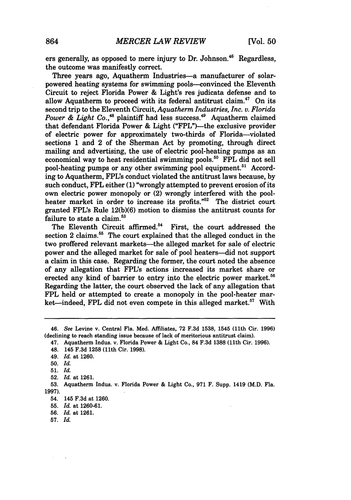ers generally, as opposed to mere injury to Dr. Johnson.<sup>46</sup> Regardless. the outcome was manifestly correct.

Three years ago, Aquatherm Industries-a manufacturer of solarpowered heating systems for swimming pools-convinced the Eleventh Circuit to reject Florida Power **&** Light's res judicata defense and to allow Aquatherm to proceed with its federal antitrust claim. 47 On its second trip to the Eleventh Circuit, *Aquatherm Industries, Inc. v. Florida Power & Light Co.*<sup>48</sup> plaintiff had less success.<sup>49</sup> Aquatherm claimed that defendant Florida Power & Light ("FPL")—the exclusive provider of electric power for approximately two-thirds of Florida-violated sections **1** and 2 of the Sherman Act **by** promoting, through direct mailing and advertising, the use of electric pool-heating pumps as an economical way to heat residential swimming pools.<sup>50</sup> FPL did not sell pool-heating pumps or any other swimming pool equipment.<sup>51</sup> According to Aquatherm, **FPL's** conduct violated the antitrust laws because, **by** such conduct, FPL either **(1)** "wrongly attempted to prevent erosion of its own electric power monopoly or (2) wrongly interfered with the poolheater market in order to increase its profits."<sup>52</sup> The district court granted **FPL's** Rule **12(b)(6)** motion to dismiss the antitrust counts for failure to state a claim.<sup>53</sup>

The Eleventh Circuit affirmed.<sup>54</sup> First, the court addressed the section 2 claims.<sup>55</sup> The court explained that the alleged conduct in the two proffered relevant markets-the alleged market for sale of electric power and the alleged market for sale of pool heaters-did not support a claim in this case. Regarding the former, the court noted the absence of any allegation that **FPL's** actions increased its market share or erected any kind of barrier to entry into the electric power market.<sup>56</sup> Regarding the latter, the court observed the lack of any allegation that FPL held or attempted to create a monopoly in the pool-heater market-indeed, FPL did not even compete in this alleged market.<sup>57</sup> With

<sup>46.</sup> *See* Levine v. Central Fla. Med. Affiliates, **72 F.3d 1538,** 1545 (11th Cir. **1996)** (declining to reach standing issue because of lack of meritorious antitrust claim).

<sup>47.</sup> Aquatherm Indus. v. Florida Power **&** Light Co., 84 **F.3d 1388** (11th Cir. **1996).**

<sup>48. 145</sup> **F.3d 1258** (11th Cir. **1998).**

<sup>49.</sup> *Id.* at **1260.**

**<sup>50.</sup>** *Id.*

**<sup>51.</sup>** *Id.*

**<sup>52.</sup>** *Id.* at **1261.**

**<sup>53.</sup>** Aquatherm Indus. v. Florida Power & Light Co., **971** F. Supp. 1419 (M.D. Fla. **1997).**

<sup>54. 145</sup> **F.3d** at **1260.**

**<sup>55.</sup>** *Id.* at **1260-61.**

**<sup>56.</sup>** *Id.* at **1261.**

**<sup>57.</sup>** *Id.*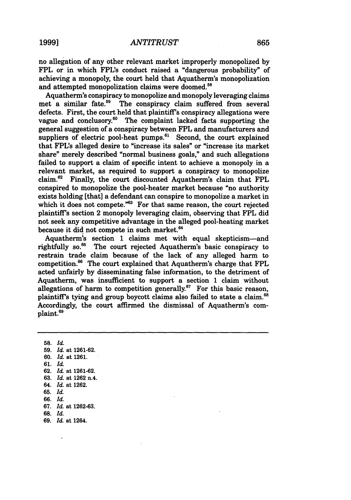## *ANTITRUST* **1999] 865**

no allegation of any other relevant market improperly monopolized by FPL or in which FPL's conduct raised a "dangerous probability" of achieving a monopoly, the court held that Aquatherm's monopolization and attempted monopolization claims were doomed.<sup>58</sup>

Aquatherm's conspiracy to monopolize and monopoly leveraging claims met a similar fate.<sup>59</sup> The conspiracy claim suffered from several defects. First, the court held that plaintiff's conspiracy allegations were vague and conclusory.6° The complaint lacked facts supporting the general suggestion of a conspiracy between FPL and manufacturers and suppliers of electric pool-heat pumps. $61$  Second, the court explained that FPL's alleged desire to "increase its sales" or "increase its market share" merely described "normal business goals," and such allegations failed to support a claim of specific intent to achieve a monopoly in a relevant market, as required to support a conspiracy to monopolize claim.62 Finally, the court discounted Aquatherm's claim that FPL conspired to monopolize the pool-heater market because "no authority exists holding [that] a defendant can conspire to monopolize a market in which it does not compete. $^{63}$  For that same reason, the court rejected plaintiff's section 2 monopoly leveraging claim, observing that FPL did not seek any competitive advantage in the alleged pool-heating market because it did not compete in such market.<sup>64</sup>

Aquatherm's section 1 claims met with equal skepticism-and rightfully **so.65** The court rejected Aquatherm's basic conspiracy to restrain trade claim because of the lack of any alleged harm to competition.<sup>66</sup> The court explained that Aquatherm's charge that FPL acted unfairly by disseminating false information, to the detriment of Aquatherm, was insufficient to support a section 1 claim without allegations of harm to competition generally.<sup>67</sup> For this basic reason, plaintiff's tying and group boycott claims also failed to state a claim.<sup>68</sup> Accordingly, the court affirmed the dismissal of Aquatherm's complaint.69

**58.** *Id.* **59.** *Id.* at 1261-62. 60. *Id.* at 1261. 61. *Id.* 62. *Id.* at 1261-62. 63. *Id.* at 1262 n.4. 64. *Id.* at 1262. **65.** *Id.* 66. *Id.* 67. *Id.* at 1262-63. **68.** *Id.* **69.** *Id.* at 1264.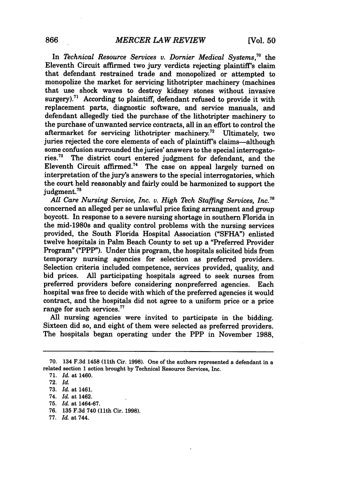In *Technical Resource Services v. Dornier Medical Systems,\*°* the Eleventh Circuit affirmed two jury verdicts rejecting plaintiff's claim that defendant restrained trade and monopolized or attempted to monopolize the market for servicing lithotripter machinery (machines that use shock waves to destroy kidney stones without invasive surgery).<sup>71</sup> According to plaintiff, defendant refused to provide it with replacement parts, diagnostic software, and service manuals, and defendant allegedly tied the purchase of the lithotripter machinery to the purchase of unwanted service contracts, all in an effort to control the aftermarket for servicing lithotripter machinery.72 Ultimately, two juries rejected the core elements of each of plaintiff's claims-although some confusion surrounded the juries' answers to the special interrogatories."3 The district court entered judgment for defendant, and the Eleventh Circuit affirmed.74 The case on appeal largely turned on interpretation of the jury's answers to the special interrogatories, which the court held reasonably and fairly could be harmonized to support the judgment.<sup>75</sup>

*All Care Nursing Service, Inc. v. High Tech Staffing Services, Inc. <sup>76</sup>* concerned an alleged per se unlawful price fixing arrangment and group boycott. In response to a severe nursing shortage in southern Florida in the mid-1980s and quality control problems with the nursing services provided, the South Florida Hospital Association **("SFHA")** enlisted twelve hospitals in Palm Beach County to set up a "Preferred Provider Program" ("PPP"). Under this program, the hospitals solicited bids from temporary nursing agencies for selection as preferred providers. Selection criteria included competence, services provided, quality, and bid prices. **All** participating hospitals agreed to seek nurses from preferred providers before considering nonpreferred agencies. Each hospital was free to decide with which of the preferred agencies it would contract, and the hospitals did not agree to a uniform price or a price range for such services.<sup>77</sup>

**All** nursing agencies were invited to participate in the bidding. Sixteen did so, and eight of them were selected as preferred providers. The hospitals began operating under the PPP in November **1988,**

- **76. 135 F.3d** 740 (11th Cir. **1998).**
- **77.** *Id.* at 744.

**<sup>70.</sup>** 134 **F.3d** 1458 (11th Cir. **1998).** One of the authors represented a defendant in a related section 1 action brought **by** Technical Resource Services, Inc.

**<sup>71.</sup>** *Id.* at 1460.

**<sup>72.</sup>** *Id.*

**<sup>73.</sup>** *Id.* at 1461.

<sup>74.</sup> *Id.* at 1462.

**<sup>75.</sup>** *Id.* at 1464-67.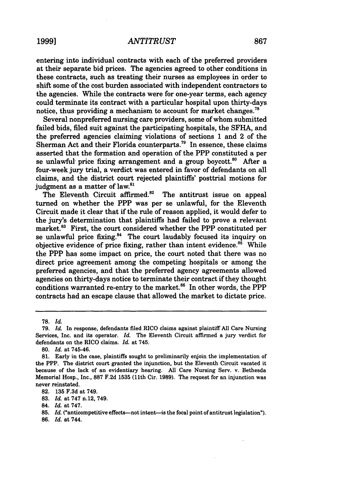entering into individual contracts with each of the preferred providers at their separate bid prices. The agencies agreed to other conditions in these contracts, such as treating their nurses as employees in order to shift some of the cost burden associated with independent contractors to the agencies. While the contracts were for one-year terms, each agency could terminate its contract with a particular hospital upon thirty-days notice, thus providing a mechanism to account for market changes.<sup>78</sup>

Several nonpreferred nursing care providers, some of whom submitted failed bids, filed suit against the participating hospitals, the SFHA, and the preferred agencies claiming violations of sections 1 and 2 of the Sherman Act and their Florida counterparts.<sup>79</sup> In essence, these claims asserted that the formation and operation of the PPP constituted a per se unlawful price fixing arrangement and a group boycott. $80$  After a four-week jury trial, a verdict was entered in favor of defendants on all claims, and the district court rejected plaintiffs' posttrial motions for judgment as a matter of law.<sup>81</sup>

The Eleventh Circuit affirmed.<sup>82</sup> The antitrust issue on appeal turned on whether the PPP was per se unlawful, for the Eleventh Circuit made it clear that if the rule of reason applied, it would defer to the jury's determination that plaintiffs had failed to prove a relevant market.<sup>83</sup> First, the court considered whether the PPP constituted per se unlawful price fixing.<sup>84</sup> The court laudably focused its inquiry on objective evidence of price fixing, rather than intent evidence. $85$  While the PPP has some impact on price, the court noted that there was no direct price agreement among the competing hospitals or among the preferred agencies, and that the preferred agency agreements allowed agencies on thirty-days notice to terminate their contract if they thought conditions warranted re-entry to the market.<sup>86</sup> In other words, the PPP contracts had an escape clause that allowed the market to dictate price.

**86.** *Id.* at 744.

**<sup>78.</sup>** *Id.*

**<sup>79.</sup>** *Id.* In response, defendants filed RICO claims against plaintiff **All** Care Nursing Services, Inc. and its operator. *Id.* The Eleventh Circuit affirmed a jury verdict for defendants on the RICO claims. *Id.* at 745.

**<sup>80.</sup>** *Id.* at 745-46.

**<sup>81.</sup>** Early in the case, plaintiffs sought to preliminarily enjoin the implementation of the PPP. The district court granted the injunction, but the Eleventh Circuit vacated it because of the lack of an evidentiary hearing. **All** Care Nursing Serv. v. Bethesda Memorial Hosp., Inc., **887 F.2d 1535** (11th Cir. **1989).** The request for an injunction was never reinstated.

**<sup>82. 135</sup> F.3d** at 749.

**<sup>83.</sup>** *Id.* at **747** n.12, 749.

<sup>84.</sup> *Id.* at **747.**

<sup>85.</sup> *Id.* ("anticompetitive effects--not intent-is the focal point of antitrust legislation").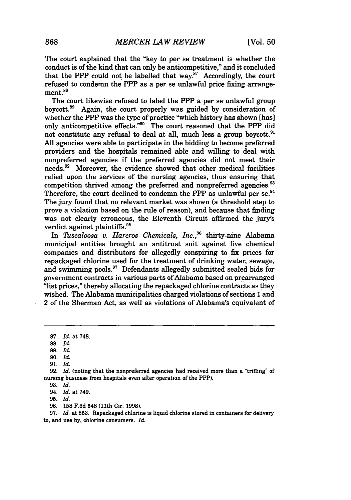The court explained that the "key to per se treatment is whether the conduct is of the kind that can only be anticompetitive," and it concluded that the PPP could not be labelled that way.<sup>87</sup> Accordingly, the court refused to condemn the PPP as a per se unlawful price fixing arrangement.<sup>88</sup>

The court likewise refused to label the PPP a per se unlawful group boycott.8 9 Again, the court properly was guided **by** consideration of whether the PPP was the type of practice "which history has shown [has] only anticompetitive effects."90 The court reasoned that the PPP did not constitute any refusal to deal at all, much less a group boycott.<sup>91</sup> **All** agencies were able to participate in the bidding to become preferred providers and the hospitals remained able and willing to deal with nonpreferred agencies if the preferred agencies did not meet their needs.<sup>92</sup> Moreover, the evidence showed that other medical facilities relied upon the services of the nursing agencies, thus ensuring that competition thrived among the preferred and nonpreferred agencies.<sup>93</sup> Therefore, the court declined to condemn the PPP as unlawful per **se.<sup>94</sup>** The jury found that no relevant market was shown (a threshold step to prove a violation based on the rule of reason), and because that finding was not clearly erroneous, the Eleventh Circuit affirmed the jury's verdict against plaintiffs.<sup>98</sup>

In *Thscaloosa v. Harcros Chemicals, Inc.,9* thirty-nine Alabama municipal entities brought an antitrust suit against five chemical companies and distributors for allegedly conspiring to fix prices for repackaged chlorine used for the treatment of drinking water, sewage, and swimming pools.<sup>97</sup> Defendants allegedly submitted sealed bids for government contracts in various parts of Alabama based on prearranged "list prices," thereby allocating the repackaged chlorine contracts as they wished. The Alabama municipalities charged violations of sections 1 and 2 of the Sherman Act, as well as violations of Alabama's equivalent of

**95.** *Id.*

96. 158 F.3d 548 (11th Cir. 1998).

97. *Id.* at 553. Repackaged chlorine is liquid chlorine stored in containers for delivery to, and use by, chlorine consumers. *Id.*

**<sup>87.</sup>** *Id.* at **748.**

**<sup>88.</sup>** *Id.*

<sup>89.</sup> *Id.*

**<sup>90.</sup>** *Id.*

<sup>91.</sup> *Id.*

<sup>92.</sup> *Id.* (noting that the nonpreferred agencies had received more than a "trifling" of nursing business from hospitals even after operation of the PPP).

<sup>93.</sup> *Id.*

<sup>94.</sup> *Id.* at 749.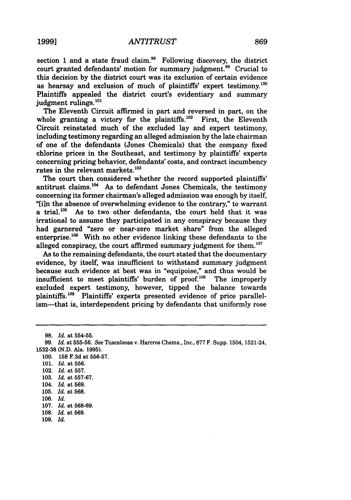section 1 and a state fraud claim.<sup>98</sup> Following discovery, the district court granted defendants' motion for summary judgment.<sup>99</sup> Crucial to this decision by the district court was its exclusion of certain evidence as hearsay and exclusion of much of plaintiffs' expert testimony.<sup>100</sup> Plaintiffs appealed the district court's evidentiary and summary judgment rulings.<sup>101</sup>

The Eleventh Circuit affirmed in part and reversed in part, on the whole granting a victory for the plaintiffs.<sup>102</sup> First, the Eleventh Circuit reinstated much of the excluded lay and expert testimony, including testimony regarding an alleged admission by the late chairman of one of the defendants (Jones Chemicals) that the company fixed chlorine prices in the Southeast, and testimony by plaintiffs' experts concerning pricing behavior, defendants' costs, and contract incumbency rates in the relevant markets. $^{103}$ 

The court then considered whether the record supported plaintiffs' antitrust claims.<sup>104</sup> As to defendant Jones Chemicals, the testimony concerning its former chairman's alleged admission was enough by itself, "[in the absence of overwhelming evidence to the contrary," to warrant a trial.<sup>105</sup> As to two other defendants, the court held that it was irrational to assume they participated in any conspiracy because they had garnered "zero or near-zero market share" from the alleged enterprise. $^{106}$  With no other evidence linking these defendants to the alleged conspiracy, the court affirmed summary judgment for them. $107$ 

As to the remaining defendants, the court stated that the documentary evidence, by itself, was insufficient to withstand summary judgment because such evidence at best was in "equipoise," and thus would be insufficient to meet plaintiffs' burden of proof. $108$  The improperly excluded expert testimony, however, tipped the balance towards plaintiffs.<sup>109</sup> Plaintiffs' experts presented evidence of price parallelism-that is, interdependent pricing by defendants that uniformly rose

<sup>98.</sup> *Id.* at 554-55.

<sup>99.</sup> *Id.* at 555-56. See Tuscaloosa v. Harcros Chems., Inc., 877 F. Supp. 1504, 1521-24, 1532-38 (N.D. Ala. 1995).

<sup>100.</sup> **158** F.3d at 556-57.

<sup>101.</sup> *Id.* at 556.

<sup>102.</sup> *Id.* at 557.

<sup>103.</sup> *Id.* at 557-67.

<sup>104.</sup> *Id.* at 569.

**<sup>105.</sup>** *Id.* at **568.**

<sup>106.</sup> *Id.*

<sup>107.</sup> *Id.* at 568-69.

<sup>108.</sup> *Id.* at **569.**

<sup>109.</sup> *Id.*